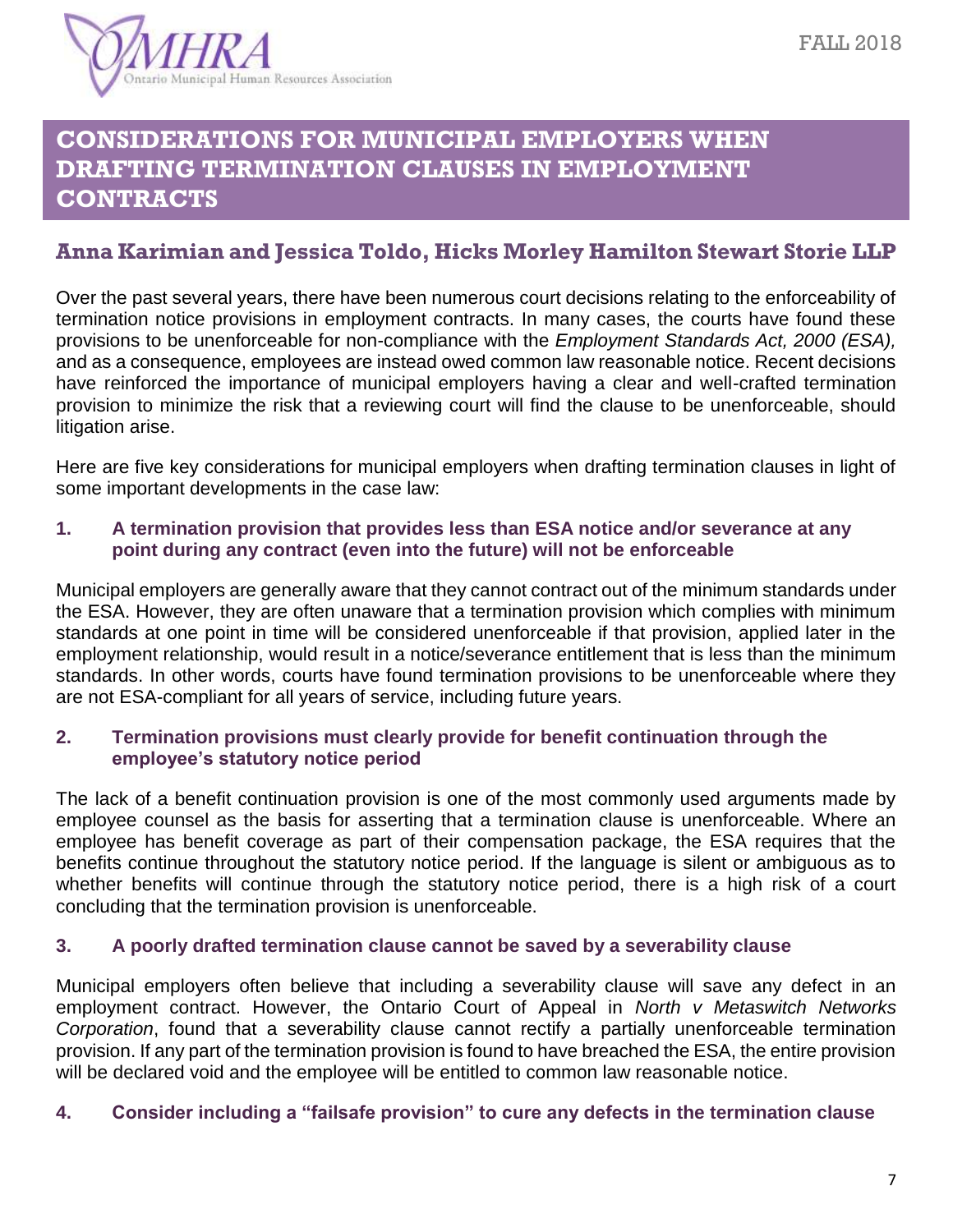# **CONSIDERATIONS FOR MUNICIPAL EMPLOYERS WHEN DRAFTING TERMINATION CLAUSES IN EMPLOYMENT CONTRACTS**

### **Anna Karimian and Jessica Toldo, Hicks Morley Hamilton Stewart Storie LLP**

Over the past several years, there have been numerous court decisions relating to the enforceability of termination notice provisions in employment contracts. In many cases, the courts have found these provisions to be unenforceable for non-compliance with the *Employment Standards Act, 2000 (ESA),* and as a consequence, employees are instead owed common law reasonable notice. Recent decisions have reinforced the importance of municipal employers having a clear and well-crafted termination provision to minimize the risk that a reviewing court will find the clause to be unenforceable, should litigation arise.

Here are five key considerations for municipal employers when drafting termination clauses in light of some important developments in the case law:

#### **1. A termination provision that provides less than ESA notice and/or severance at any point during any contract (even into the future) will not be enforceable**

Municipal employers are generally aware that they cannot contract out of the minimum standards under the ESA. However, they are often unaware that a termination provision which complies with minimum standards at one point in time will be considered unenforceable if that provision, applied later in the employment relationship, would result in a notice/severance entitlement that is less than the minimum standards. In other words, courts have found termination provisions to be unenforceable where they are not ESA-compliant for all years of service, including future years.

#### **2. Termination provisions must clearly provide for benefit continuation through the employee's statutory notice period**

The lack of a benefit continuation provision is one of the most commonly used arguments made by employee counsel as the basis for asserting that a termination clause is unenforceable. Where an employee has benefit coverage as part of their compensation package, the ESA requires that the benefits continue throughout the statutory notice period. If the language is silent or ambiguous as to whether benefits will continue through the statutory notice period, there is a high risk of a court concluding that the termination provision is unenforceable.

#### **3. A poorly drafted termination clause cannot be saved by a severability clause**

Municipal employers often believe that including a severability clause will save any defect in an employment contract. However, the Ontario Court of Appeal in *North v Metaswitch Networks Corporation*, found that a severability clause cannot rectify a partially unenforceable termination provision. If any part of the termination provision is found to have breached the ESA, the entire provision will be declared void and the employee will be entitled to common law reasonable notice.

#### **4. Consider including a "failsafe provision" to cure any defects in the termination clause**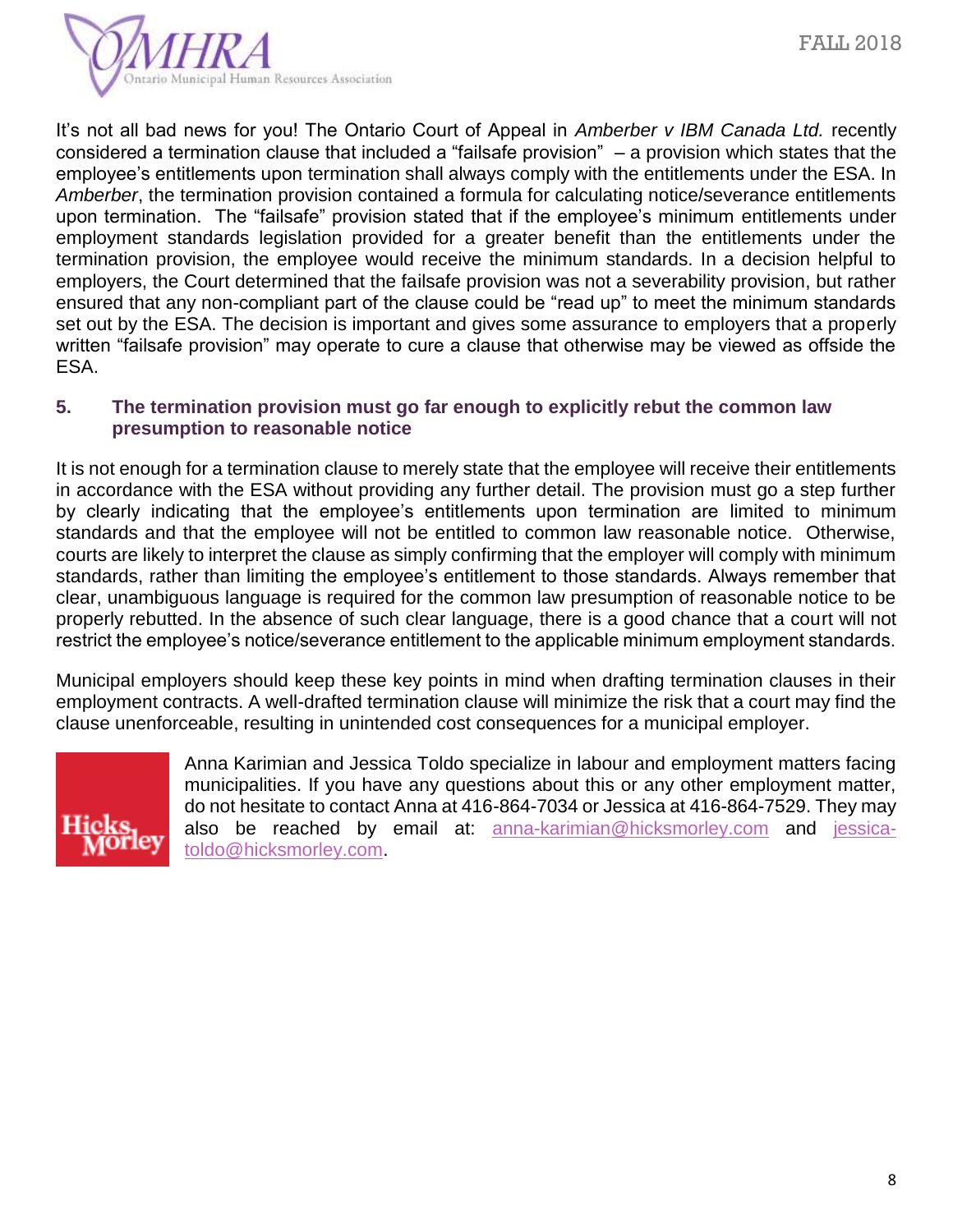

It's not all bad news for you! The Ontario Court of Appeal in *Amberber v IBM Canada Ltd.* recently considered a termination clause that included a "failsafe provision" – a provision which states that the employee's entitlements upon termination shall always comply with the entitlements under the ESA. In *Amberber*, the termination provision contained a formula for calculating notice/severance entitlements upon termination. The "failsafe" provision stated that if the employee's minimum entitlements under employment standards legislation provided for a greater benefit than the entitlements under the termination provision, the employee would receive the minimum standards. In a decision helpful to employers, the Court determined that the failsafe provision was not a severability provision, but rather ensured that any non-compliant part of the clause could be "read up" to meet the minimum standards set out by the ESA. The decision is important and gives some assurance to employers that a properly written "failsafe provision" may operate to cure a clause that otherwise may be viewed as offside the ESA.

#### **5. The termination provision must go far enough to explicitly rebut the common law presumption to reasonable notice**

It is not enough for a termination clause to merely state that the employee will receive their entitlements in accordance with the ESA without providing any further detail. The provision must go a step further by clearly indicating that the employee's entitlements upon termination are limited to minimum standards and that the employee will not be entitled to common law reasonable notice. Otherwise, courts are likely to interpret the clause as simply confirming that the employer will comply with minimum standards, rather than limiting the employee's entitlement to those standards. Always remember that clear, unambiguous language is required for the common law presumption of reasonable notice to be properly rebutted. In the absence of such clear language, there is a good chance that a court will not restrict the employee's notice/severance entitlement to the applicable minimum employment standards.

Municipal employers should keep these key points in mind when drafting termination clauses in their employment contracts. A well-drafted termination clause will minimize the risk that a court may find the clause unenforceable, resulting in unintended cost consequences for a municipal employer.



Anna Karimian and Jessica Toldo specialize in labour and employment matters facing municipalities. If you have any questions about this or any other employment matter, do not hesitate to contact Anna at 416-864-7034 or Jessica at 416-864-7529. They may also be reached by email at: **[anna-karimian@hicksmorley.com](mailto:anna-karimian@hicksmorley.com)** and [jessica](mailto:jessica-toldo@hicksmorley.com)[toldo@hicksmorley.com.](mailto:jessica-toldo@hicksmorley.com)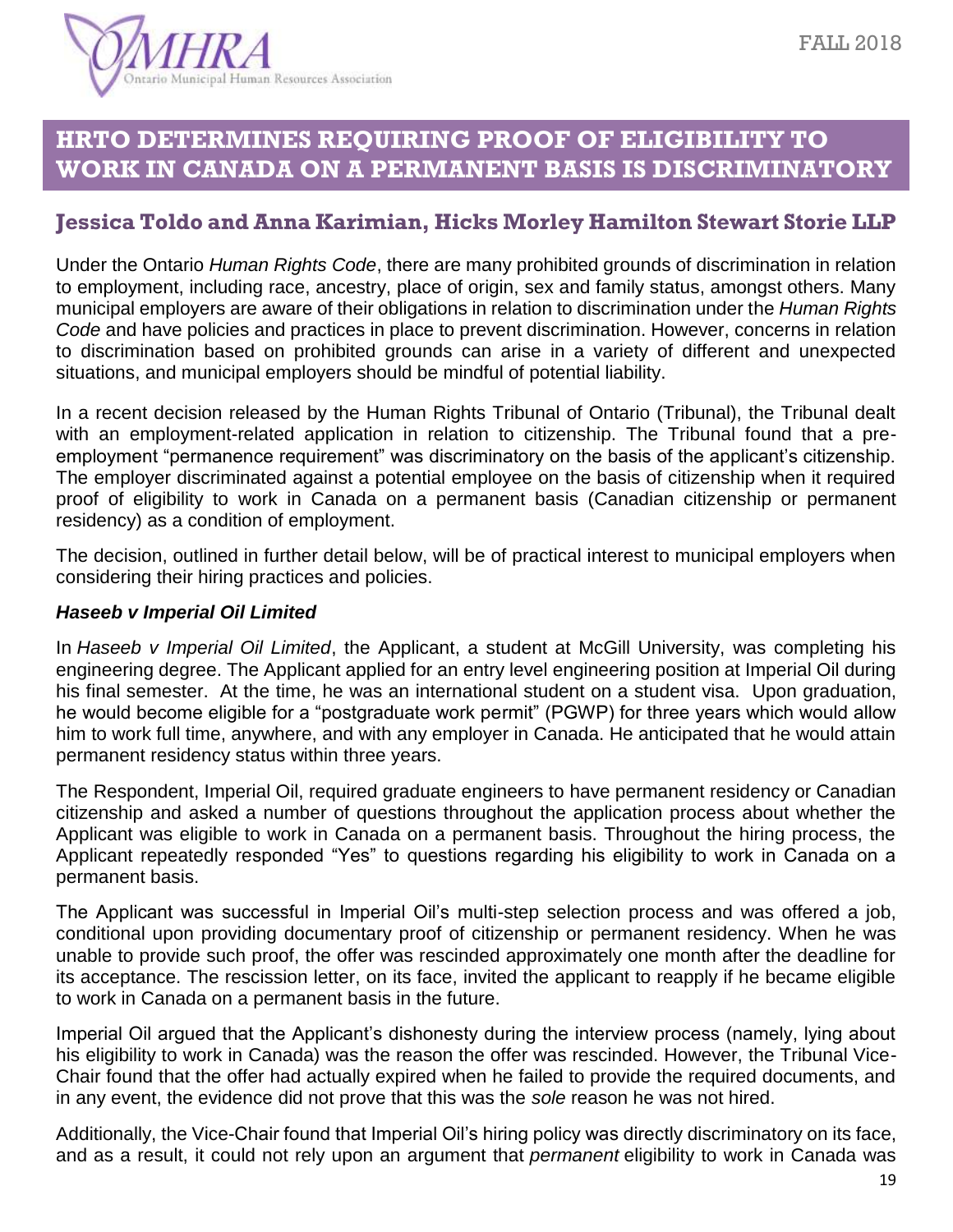

## **HRTO DETERMINES REQUIRING PROOF OF ELIGIBILITY TO WORK IN CANADA ON A PERMANENT BASIS IS DISCRIMINATORY**

### **Jessica Toldo and Anna Karimian, Hicks Morley Hamilton Stewart Storie LLP**

Under the Ontario *Human Rights Code*, there are many prohibited grounds of discrimination in relation to employment, including race, ancestry, place of origin, sex and family status, amongst others. Many municipal employers are aware of their obligations in relation to discrimination under the *Human Rights Code* and have policies and practices in place to prevent discrimination. However, concerns in relation to discrimination based on prohibited grounds can arise in a variety of different and unexpected situations, and municipal employers should be mindful of potential liability.

In a recent decision released by the Human Rights Tribunal of Ontario (Tribunal), the Tribunal dealt with an employment-related application in relation to citizenship. The Tribunal found that a preemployment "permanence requirement" was discriminatory on the basis of the applicant's citizenship. The employer discriminated against a potential employee on the basis of citizenship when it required proof of eligibility to work in Canada on a permanent basis (Canadian citizenship or permanent residency) as a condition of employment.

The decision, outlined in further detail below, will be of practical interest to municipal employers when considering their hiring practices and policies.

#### *Haseeb v Imperial Oil Limited*

In *[Haseeb v Imperial Oil Limited](https://www.canlii.org/en/on/onhrt/doc/2018/2018hrto957/2018hrto957.html?autocompleteStr=Haseeb%20v.%20Imperial%20Oil%20Limited&autocompletePos=2)*, the Applicant, a student at McGill University, was completing his engineering degree. The Applicant applied for an entry level engineering position at Imperial Oil during his final semester. At the time, he was an international student on a student visa. Upon graduation, he would become eligible for a "postgraduate work permit" (PGWP) for three years which would allow him to work full time, anywhere, and with any employer in Canada. He anticipated that he would attain permanent residency status within three years.

The Respondent, Imperial Oil, required graduate engineers to have permanent residency or Canadian citizenship and asked a number of questions throughout the application process about whether the Applicant was eligible to work in Canada on a permanent basis. Throughout the hiring process, the Applicant repeatedly responded "Yes" to questions regarding his eligibility to work in Canada on a permanent basis.

The Applicant was successful in Imperial Oil's multi-step selection process and was offered a job, conditional upon providing documentary proof of citizenship or permanent residency. When he was unable to provide such proof, the offer was rescinded approximately one month after the deadline for its acceptance. The rescission letter, on its face, invited the applicant to reapply if he became eligible to work in Canada on a permanent basis in the future.

Imperial Oil argued that the Applicant's dishonesty during the interview process (namely, lying about his eligibility to work in Canada) was the reason the offer was rescinded. However, the Tribunal Vice-Chair found that the offer had actually expired when he failed to provide the required documents, and in any event, the evidence did not prove that this was the *sole* reason he was not hired.

Additionally, the Vice-Chair found that Imperial Oil's hiring policy was directly discriminatory on its face, and as a result, it could not rely upon an argument that *permanent* eligibility to work in Canada was